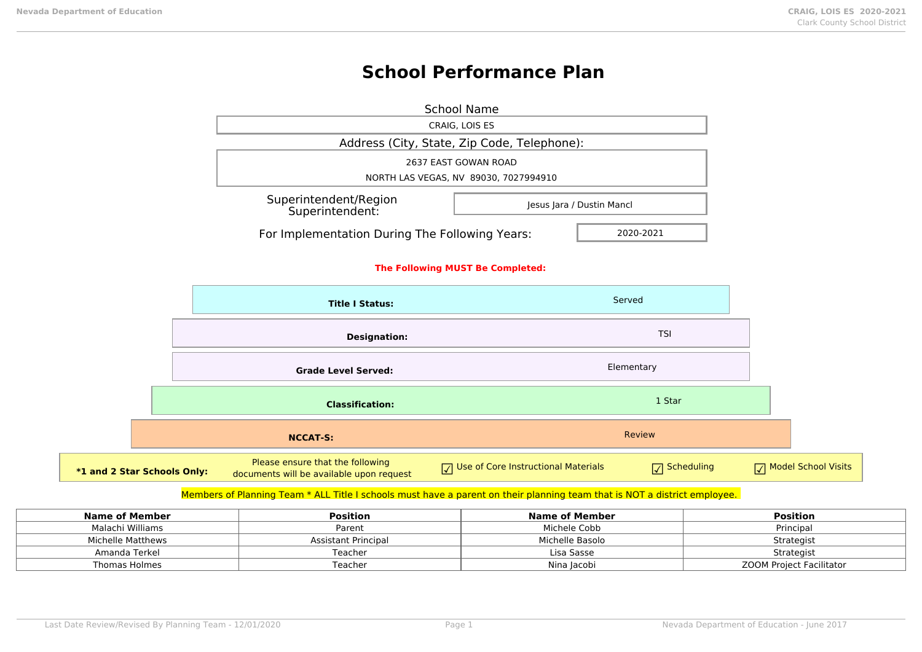**\*1 and 2** 

# **School Performance Plan**

|                           | <b>School Name</b>                                                           |                                                   |                        |                                         |
|---------------------------|------------------------------------------------------------------------------|---------------------------------------------------|------------------------|-----------------------------------------|
|                           |                                                                              | CRAIG, LOIS ES                                    |                        |                                         |
|                           | Address (City, State, Zip Code, Telephone):                                  |                                                   |                        |                                         |
|                           |                                                                              | 2637 EAST GOWAN ROAD                              |                        |                                         |
|                           |                                                                              | NORTH LAS VEGAS, NV 89030, 7027994910             |                        |                                         |
|                           | Superintendent/Region<br>Jesus Jara / Dustin Mancl<br>Superintendent:        |                                                   |                        |                                         |
|                           | For Implementation During The Following Years:                               |                                                   | 2020-2021              |                                         |
|                           | The Following MUST Be Completed:                                             |                                                   |                        |                                         |
|                           | Served<br><b>Title I Status:</b>                                             |                                                   |                        |                                         |
|                           | <b>Designation:</b>                                                          |                                                   | <b>TSI</b>             |                                         |
|                           | <b>Grade Level Served:</b>                                                   |                                                   | Elementary             |                                         |
|                           | <b>Classification:</b>                                                       |                                                   | 1 Star                 |                                         |
|                           | <b>NCCAT-S:</b>                                                              |                                                   | <b>Review</b>          |                                         |
| <b>Star Schools Only:</b> | Please ensure that the following<br>documents will be available upon request | Use of Core Instructional Materials<br>$\sqrt{ }$ | $\sqrt{\ }$ Scheduling | <b>Model School Visits</b><br>$\sqrt{}$ |

## Members of Planning Team \* ALL Title I schools must have a parent on their planning team that is NOT a district employee.

| Name of Member    | <b>Position</b>     | Name of Member  | <b>Position</b>          |
|-------------------|---------------------|-----------------|--------------------------|
| Malachi Williams  | Parent              | Michele Cobb    | Principal                |
| Michelle Matthews | Assistant Principal | Michelle Basolo | Strategist               |
| Amanda Terkel     | Teacher             | Lisa Sasse      | Strategist               |
| Thomas Holmes     | Teacher             | Nina Jacobi     | ZOOM Project Facilitator |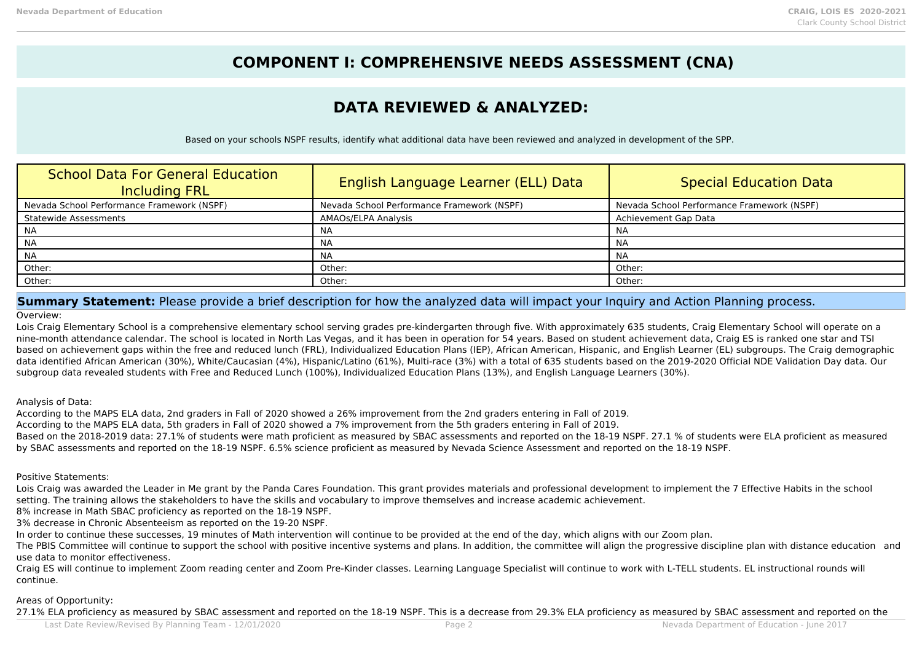## **COMPONENT I: COMPREHENSIVE NEEDS ASSESSMENT (CNA)**

## **DATA REVIEWED & ANALYZED:**

Based on your schools NSPF results, identify what additional data have been reviewed and analyzed in development of the SPP.

| <b>School Data For General Education</b><br><b>Including FRL</b> | English Language Learner (ELL) Data        | Special Education Data                     |
|------------------------------------------------------------------|--------------------------------------------|--------------------------------------------|
| Nevada School Performance Framework (NSPF)                       | Nevada School Performance Framework (NSPF) | Nevada School Performance Framework (NSPF) |
| <b>Statewide Assessments</b>                                     | AMAOs/ELPA Analysis                        | Achievement Gap Data                       |
| <b>NA</b>                                                        | NA                                         | NA                                         |
| <b>NA</b>                                                        | ΝA                                         | <b>NA</b>                                  |
| <b>NA</b>                                                        | NA                                         | <b>NA</b>                                  |
| Other:                                                           | Other:                                     | Other:                                     |
| Other:                                                           | Other:                                     | Other:                                     |

## **Summary Statement:** Please provide a brief description for how the analyzed data will impact your Inquiry and Action Planning process.

#### Overview:

Lois Craig Elementary School is a comprehensive elementary school serving grades pre-kindergarten through five. With approximately 635 students, Craig Elementary School will operate on a nine-month attendance calendar. The school is located in North Las Vegas, and it has been in operation for 54 years. Based on student achievement data, Craig ES is ranked one star and TSI based on achievement gaps within the free and reduced lunch (FRL), Individualized Education Plans (IEP), African American, Hispanic, and English Learner (EL) subgroups. The Craig demographic data identified African American (30%), White/Caucasian (4%), Hispanic/Latino (61%), Multi-race (3%) with a total of 635 students based on the 2019-2020 Official NDE Validation Day data. Our subgroup data revealed students with Free and Reduced Lunch (100%), Individualized Education Plans (13%), and English Language Learners (30%).

### Analysis of Data:

According to the MAPS ELA data, 2nd graders in Fall of 2020 showed a 26% improvement from the 2nd graders entering in Fall of 2019.

According to the MAPS ELA data, 5th graders in Fall of 2020 showed a 7% improvement from the 5th graders entering in Fall of 2019.

Based on the 2018-2019 data: 27.1% of students were math proficient as measured by SBAC assessments and reported on the 18-19 NSPF. 27.1 % of students were ELA proficient as measured by SBAC assessments and reported on the 18-19 NSPF. 6.5% science proficient as measured by Nevada Science Assessment and reported on the 18-19 NSPF.

#### Positive Statements:

Lois Craig was awarded the Leader in Me grant by the Panda Cares Foundation. This grant provides materials and professional development to implement the 7 Effective Habits in the school setting. The training allows the stakeholders to have the skills and vocabulary to improve themselves and increase academic achievement.

8% increase in Math SBAC proficiency as reported on the 18-19 NSPF.

3% decrease in Chronic Absenteeism as reported on the 19-20 NSPF.

In order to continue these successes, 19 minutes of Math intervention will continue to be provided at the end of the day, which aligns with our Zoom plan.

The PBIS Committee will continue to support the school with positive incentive systems and plans. In addition, the committee will align the progressive discipline plan with distance education and use data to monitor effectiveness.

Craig ES will continue to implement Zoom reading center and Zoom Pre-Kinder classes. Learning Language Specialist will continue to work with L-TELL students. EL instructional rounds will continue.

### Areas of Opportunity:

27.1% ELA proficiency as measured by SBAC assessment and reported on the 18-19 NSPF. This is a decrease from 29.3% ELA proficiency as measured by SBAC assessment and reported on the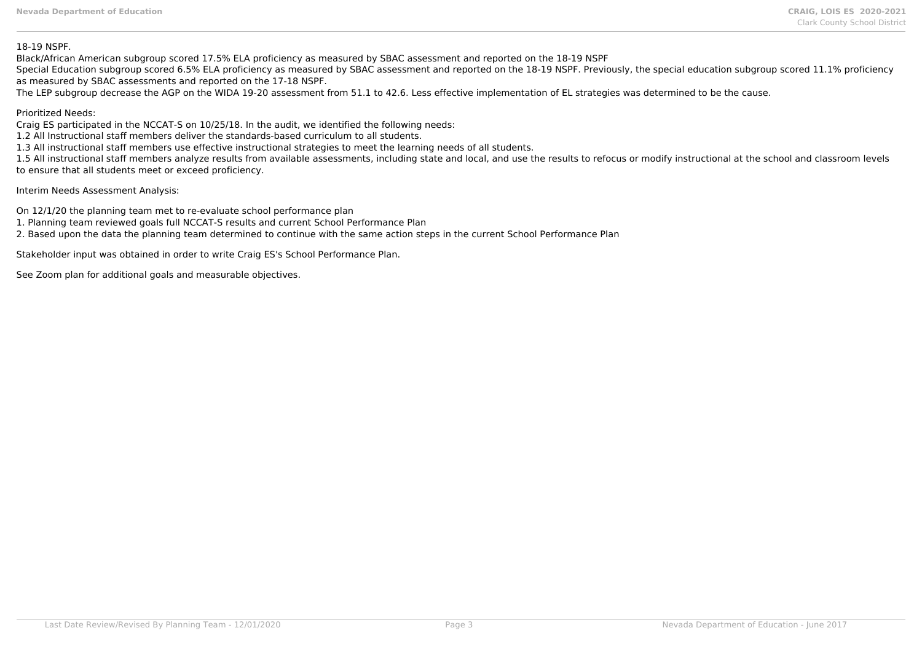#### 18-19 NSPF.

Black/African American subgroup scored 17.5% ELA proficiency as measured by SBAC assessment and reported on the 18-19 NSPF

Special Education subgroup scored 6.5% ELA proficiency as measured by SBAC assessment and reported on the 18-19 NSPF. Previously, the special education subgroup scored 11.1% proficiency as measured by SBAC assessments and reported on the 17-18 NSPF.

The LEP subgroup decrease the AGP on the WIDA 19-20 assessment from 51.1 to 42.6. Less effective implementation of EL strategies was determined to be the cause.

## Prioritized Needs:

Craig ES participated in the NCCAT-S on 10/25/18. In the audit, we identified the following needs:

1.2 All Instructional staff members deliver the standards-based curriculum to all students.

1.3 All instructional staff members use effective instructional strategies to meet the learning needs of all students.

1.5 All instructional staff members analyze results from available assessments, including state and local, and use the results to refocus or modify instructional at the school and classroom levels to ensure that all students meet or exceed proficiency.

Interim Needs Assessment Analysis:

On 12/1/20 the planning team met to re-evaluate school performance plan

1. Planning team reviewed goals full NCCAT-S results and current School Performance Plan

2. Based upon the data the planning team determined to continue with the same action steps in the current School Performance Plan

Stakeholder input was obtained in order to write Craig ES's School Performance Plan.

See Zoom plan for additional goals and measurable objectives.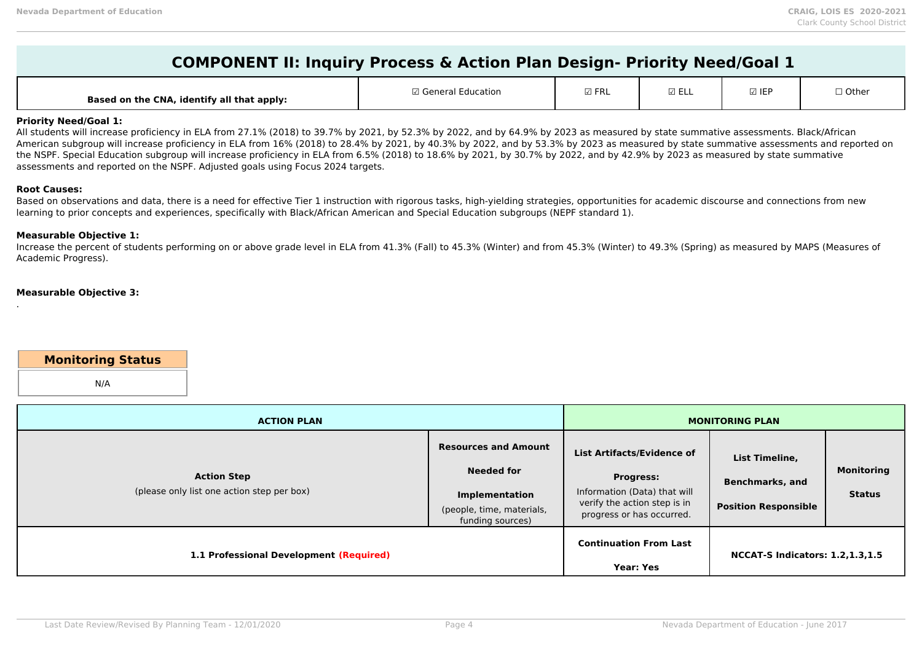| COMPONENT II: Inquiry Process & Action Plan Design- Priority Need/Goal 1 |  |
|--------------------------------------------------------------------------|--|
|--------------------------------------------------------------------------|--|

| $\boxdot$ FRL<br>☑ ELL<br>⊠ IEP<br>$\Box$ General $\Box$<br>$\sqcap$ Other<br>ducation:<br>Based on the CNA, identify all that apply: |
|---------------------------------------------------------------------------------------------------------------------------------------|
|---------------------------------------------------------------------------------------------------------------------------------------|

## **Priority Need/Goal 1:**

All students will increase proficiency in ELA from 27.1% (2018) to 39.7% by 2021, by 52.3% by 2022, and by 64.9% by 2023 as measured by state summative assessments. Black/African American subgroup will increase proficiency in ELA from 16% (2018) to 28.4% by 2021, by 40.3% by 2022, and by 53.3% by 2023 as measured by state summative assessments and reported on the NSPF. Special Education subgroup will increase proficiency in ELA from 6.5% (2018) to 18.6% by 2021, by 30.7% by 2022, and by 42.9% by 2023 as measured by state summative assessments and reported on the NSPF. Adjusted goals using Focus 2024 targets.

#### **Root Causes:**

.

Based on observations and data, there is a need for effective Tier 1 instruction with rigorous tasks, high-yielding strategies, opportunities for academic discourse and connections from new learning to prior concepts and experiences, specifically with Black/African American and Special Education subgroups (NEPF standard 1).

### **Measurable Objective 1:**

Increase the percent of students performing on or above grade level in ELA from 41.3% (Fall) to 45.3% (Winter) and from 45.3% (Winter) to 49.3% (Spring) as measured by MAPS (Measures of Academic Progress).

#### **Measurable Objective 3:**

## **Monitoring Status**

N/A

| <b>ACTION PLAN</b>                                               |                                                                                                                            |                                                                                                                                                    | <b>MONITORING PLAN</b>                                                  |                                    |
|------------------------------------------------------------------|----------------------------------------------------------------------------------------------------------------------------|----------------------------------------------------------------------------------------------------------------------------------------------------|-------------------------------------------------------------------------|------------------------------------|
| <b>Action Step</b><br>(please only list one action step per box) | <b>Resources and Amount</b><br><b>Needed for</b><br><b>Implementation</b><br>(people, time, materials,<br>funding sources) | <b>List Artifacts/Evidence of</b><br><b>Progress:</b><br>Information (Data) that will<br>verify the action step is in<br>progress or has occurred. | List Timeline,<br><b>Benchmarks, and</b><br><b>Position Responsible</b> | <b>Monitoring</b><br><b>Status</b> |
| 1.1 Professional Development (Required)                          |                                                                                                                            | <b>Continuation From Last</b><br><b>Year: Yes</b>                                                                                                  | <b>NCCAT-S Indicators: 1.2,1.3,1.5</b>                                  |                                    |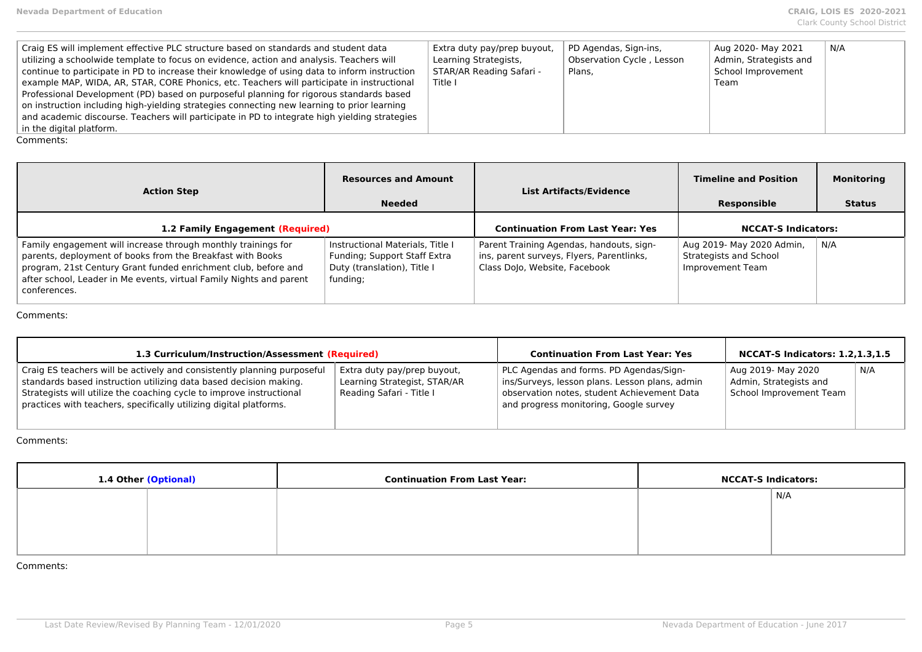| Craig ES will implement effective PLC structure based on standards and student data<br>utilizing a schoolwide template to focus on evidence, action and analysis. Teachers will<br>continue to participate in PD to increase their knowledge of using data to inform instruction<br>example MAP, WIDA, AR, STAR, CORE Phonics, etc. Teachers will participate in instructional<br>Professional Development (PD) based on purposeful planning for rigorous standards based<br>$\perp$ on instruction including high-yielding strategies connecting new learning to prior learning<br>and academic discourse. Teachers will participate in PD to integrate high yielding strategies | Extra duty pay/prep buyout,<br>Learning Strategists,<br>STAR/AR Reading Safari -<br>Title I | PD Agendas, Sign-ins,<br>Observation Cycle, Lesson<br>Plans. | Aug 2020- May 2021<br>Admin, Strategists and<br>School Improvement<br>Team | N/A |
|-----------------------------------------------------------------------------------------------------------------------------------------------------------------------------------------------------------------------------------------------------------------------------------------------------------------------------------------------------------------------------------------------------------------------------------------------------------------------------------------------------------------------------------------------------------------------------------------------------------------------------------------------------------------------------------|---------------------------------------------------------------------------------------------|--------------------------------------------------------------|----------------------------------------------------------------------------|-----|
| in the digital platform.                                                                                                                                                                                                                                                                                                                                                                                                                                                                                                                                                                                                                                                          |                                                                                             |                                                              |                                                                            |     |

| <b>Action Step</b>                                                                                                                                                                                                                                                                   | <b>Resources and Amount</b><br><b>Needed</b>                                                                | <b>List Artifacts/Evidence</b>                                                                                         | <b>Timeline and Position</b><br>Responsible                                    | <b>Monitoring</b><br><b>Status</b> |
|--------------------------------------------------------------------------------------------------------------------------------------------------------------------------------------------------------------------------------------------------------------------------------------|-------------------------------------------------------------------------------------------------------------|------------------------------------------------------------------------------------------------------------------------|--------------------------------------------------------------------------------|------------------------------------|
| 1.2 Family Engagement (Required)                                                                                                                                                                                                                                                     |                                                                                                             | <b>Continuation From Last Year: Yes</b>                                                                                | <b>NCCAT-S Indicators:</b>                                                     |                                    |
| Family engagement will increase through monthly trainings for<br>parents, deployment of books from the Breakfast with Books<br>program, 21st Century Grant funded enrichment club, before and<br>after school, Leader in Me events, virtual Family Nights and parent<br>conferences. | Instructional Materials, Title I<br>Funding; Support Staff Extra<br>Duty (translation), Title I<br>funding; | Parent Training Agendas, handouts, sign-<br>ins, parent surveys, Flyers, Parentlinks,<br>Class Dolo, Website, Facebook | Aug 2019- May 2020 Admin,<br><b>Strategists and School</b><br>Improvement Team | N/A                                |

Comments:

| 1.3 Curriculum/Instruction/Assessment (Required)                                                                                                                                                                                                                                           |                                                                                         | <b>Continuation From Last Year: Yes</b>                                                                                                                                            | <b>NCCAT-S Indicators: 1.2,1.3,1.5</b>                                  |     |
|--------------------------------------------------------------------------------------------------------------------------------------------------------------------------------------------------------------------------------------------------------------------------------------------|-----------------------------------------------------------------------------------------|------------------------------------------------------------------------------------------------------------------------------------------------------------------------------------|-------------------------------------------------------------------------|-----|
| Craig ES teachers will be actively and consistently planning purposeful<br>standards based instruction utilizing data based decision making.<br>Strategists will utilize the coaching cycle to improve instructional<br>practices with teachers, specifically utilizing digital platforms. | Extra duty pay/prep buyout,<br>Learning Strategist, STAR/AR<br>Reading Safari - Title I | PLC Agendas and forms. PD Agendas/Sign-<br>ins/Surveys, lesson plans. Lesson plans, admin<br>observation notes, student Achievement Data<br>and progress monitoring, Google survey | Aug 2019- May 2020<br>Admin, Strategists and<br>School Improvement Team | N/A |

Comments:

| 1.4 Other (Optional) | <b>Continuation From Last Year:</b> | <b>NCCAT-S Indicators:</b> |     |
|----------------------|-------------------------------------|----------------------------|-----|
|                      |                                     |                            | N/A |
|                      |                                     |                            |     |
|                      |                                     |                            |     |
|                      |                                     |                            |     |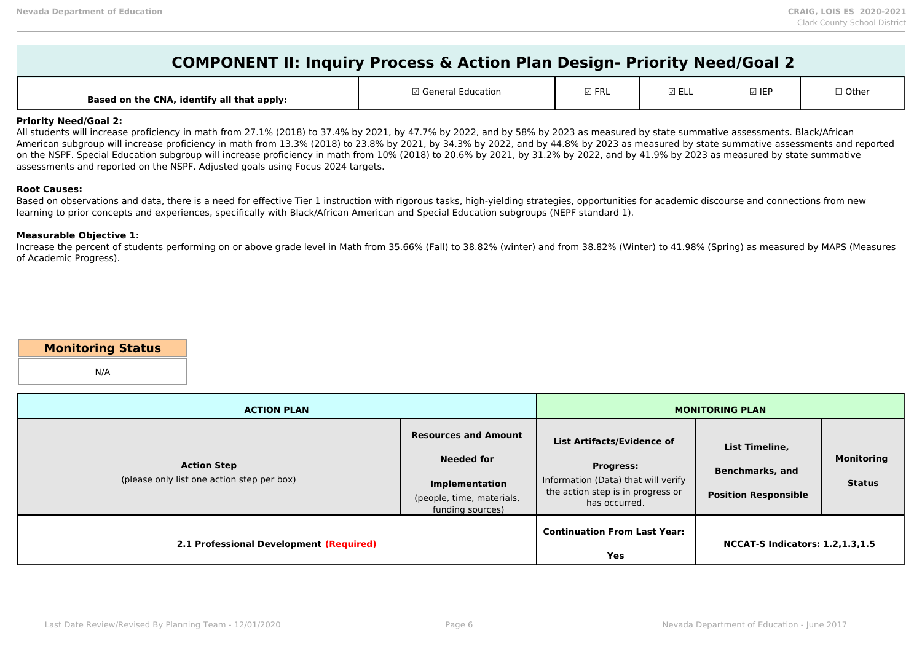| <b>COMPONENT II: Inquiry Process &amp; Action Plan Design- Priority Need/Goal 2</b> |  |
|-------------------------------------------------------------------------------------|--|
|-------------------------------------------------------------------------------------|--|

| $\neg$ col<br>$\Box$ Othor<br><b>IED</b><br>7 Canaral<br>l Education<br>$\sqcup$ other<br><b>MITNL</b><br>⊾∟∟ ك<br>ື່<br>Based on the CNA, identify all that apply: |  |
|---------------------------------------------------------------------------------------------------------------------------------------------------------------------|--|
|---------------------------------------------------------------------------------------------------------------------------------------------------------------------|--|

### **Priority Need/Goal 2:**

All students will increase proficiency in math from 27.1% (2018) to 37.4% by 2021, by 47.7% by 2022, and by 58% by 2023 as measured by state summative assessments. Black/African American subgroup will increase proficiency in math from 13.3% (2018) to 23.8% by 2021, by 34.3% by 2022, and by 44.8% by 2023 as measured by state summative assessments and reported on the NSPF. Special Education subgroup will increase proficiency in math from 10% (2018) to 20.6% by 2021, by 31.2% by 2022, and by 41.9% by 2023 as measured by state summative assessments and reported on the NSPF. Adjusted goals using Focus 2024 targets.

#### **Root Causes:**

Based on observations and data, there is a need for effective Tier 1 instruction with rigorous tasks, high-yielding strategies, opportunities for academic discourse and connections from new learning to prior concepts and experiences, specifically with Black/African American and Special Education subgroups (NEPF standard 1).

### **Measurable Objective 1:**

Increase the percent of students performing on or above grade level in Math from 35.66% (Fall) to 38.82% (winter) and from 38.82% (Winter) to 41.98% (Spring) as measured by MAPS (Measures of Academic Progress).

## **Monitoring Status**

N/A

| <b>ACTION PLAN</b>                                               |                                                                                                                            |                                                                                                                                             | <b>MONITORING PLAN</b>                                                  |                                    |
|------------------------------------------------------------------|----------------------------------------------------------------------------------------------------------------------------|---------------------------------------------------------------------------------------------------------------------------------------------|-------------------------------------------------------------------------|------------------------------------|
| <b>Action Step</b><br>(please only list one action step per box) | <b>Resources and Amount</b><br><b>Needed for</b><br><b>Implementation</b><br>(people, time, materials,<br>funding sources) | List Artifacts/Evidence of<br><b>Progress:</b><br>Information (Data) that will verify<br>the action step is in progress or<br>has occurred. | List Timeline,<br><b>Benchmarks, and</b><br><b>Position Responsible</b> | <b>Monitoring</b><br><b>Status</b> |
| 2.1 Professional Development (Required)                          |                                                                                                                            | <b>Continuation From Last Year:</b><br>Yes                                                                                                  | <b>NCCAT-S Indicators: 1.2,1.3,1.5</b>                                  |                                    |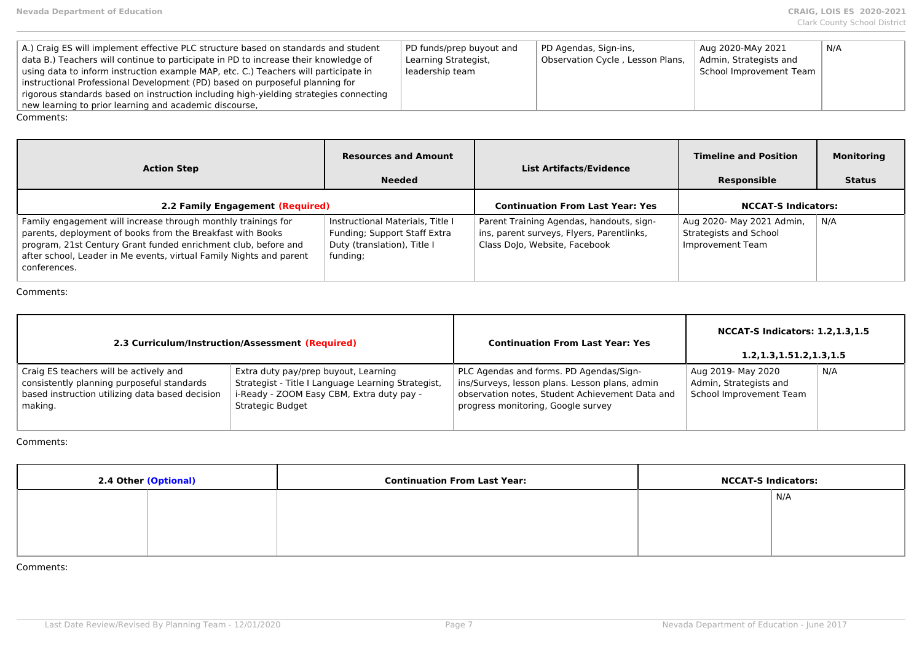| A.) Craig ES will implement effective PLC structure based on standards and student    | PD funds/prep buyout and | PD Agendas, Sign-ins,            | Aug 2020-MAy 2021       | N/A |
|---------------------------------------------------------------------------------------|--------------------------|----------------------------------|-------------------------|-----|
| data B.) Teachers will continue to participate in PD to increase their knowledge of   | Learning Strategist,     | Observation Cycle, Lesson Plans, | Admin, Strategists and  |     |
| using data to inform instruction example MAP, etc. C.) Teachers will participate in   | leadership team          |                                  | School Improvement Team |     |
| instructional Professional Development (PD) based on purposeful planning for          |                          |                                  |                         |     |
| rigorous standards based on instruction including high-yielding strategies connecting |                          |                                  |                         |     |
| new learning to prior learning and academic discourse,                                |                          |                                  |                         |     |
| Comments:                                                                             |                          |                                  |                         |     |

| <b>Action Step</b>                                                                                                                                                                                                                                                                   | <b>Resources and Amount</b><br><b>Needed</b>                                                                | <b>List Artifacts/Evidence</b>                                                                                         | <b>Timeline and Position</b><br>Responsible                             | <b>Monitoring</b><br><b>Status</b> |
|--------------------------------------------------------------------------------------------------------------------------------------------------------------------------------------------------------------------------------------------------------------------------------------|-------------------------------------------------------------------------------------------------------------|------------------------------------------------------------------------------------------------------------------------|-------------------------------------------------------------------------|------------------------------------|
| 2.2 Family Engagement (Required)                                                                                                                                                                                                                                                     |                                                                                                             | <b>Continuation From Last Year: Yes</b>                                                                                | <b>NCCAT-S Indicators:</b>                                              |                                    |
| Family engagement will increase through monthly trainings for<br>parents, deployment of books from the Breakfast with Books<br>program, 21st Century Grant funded enrichment club, before and<br>after school, Leader in Me events, virtual Family Nights and parent<br>conferences. | Instructional Materials, Title I<br>Funding; Support Staff Extra<br>Duty (translation), Title I<br>funding; | Parent Training Agendas, handouts, sign-<br>ins, parent surveys, Flyers, Parentlinks,<br>Class Dolo, Website, Facebook | Aug 2020- May 2021 Admin,<br>Strategists and School<br>Improvement Team | N/A                                |

|                                                                                                                                                    | 2.3 Curriculum/Instruction/Assessment (Required)                                                                                                            | <b>Continuation From Last Year: Yes</b>                                                                                                                                            | <b>NCCAT-S Indicators: 1.2, 1.3, 1.5</b><br>1.2, 1.3, 1.51. 2, 1.3, 1.5 |     |
|----------------------------------------------------------------------------------------------------------------------------------------------------|-------------------------------------------------------------------------------------------------------------------------------------------------------------|------------------------------------------------------------------------------------------------------------------------------------------------------------------------------------|-------------------------------------------------------------------------|-----|
| Craig ES teachers will be actively and<br>consistently planning purposeful standards<br>based instruction utilizing data based decision<br>making. | Extra duty pay/prep buyout, Learning<br>Strategist - Title I Language Learning Strategist,<br>i-Ready - ZOOM Easy CBM, Extra duty pay -<br>Strategic Budget | PLC Agendas and forms. PD Agendas/Sign-<br>ins/Surveys, lesson plans. Lesson plans, admin<br>observation notes, Student Achievement Data and<br>progress monitoring, Google survey | Aug 2019- May 2020<br>Admin, Strategists and<br>School Improvement Team | N/A |

Comments:

| 2.4 Other (Optional) | <b>Continuation From Last Year:</b> | <b>NCCAT-S Indicators:</b> |
|----------------------|-------------------------------------|----------------------------|
|                      |                                     | N/A                        |
|                      |                                     |                            |
|                      |                                     |                            |
|                      |                                     |                            |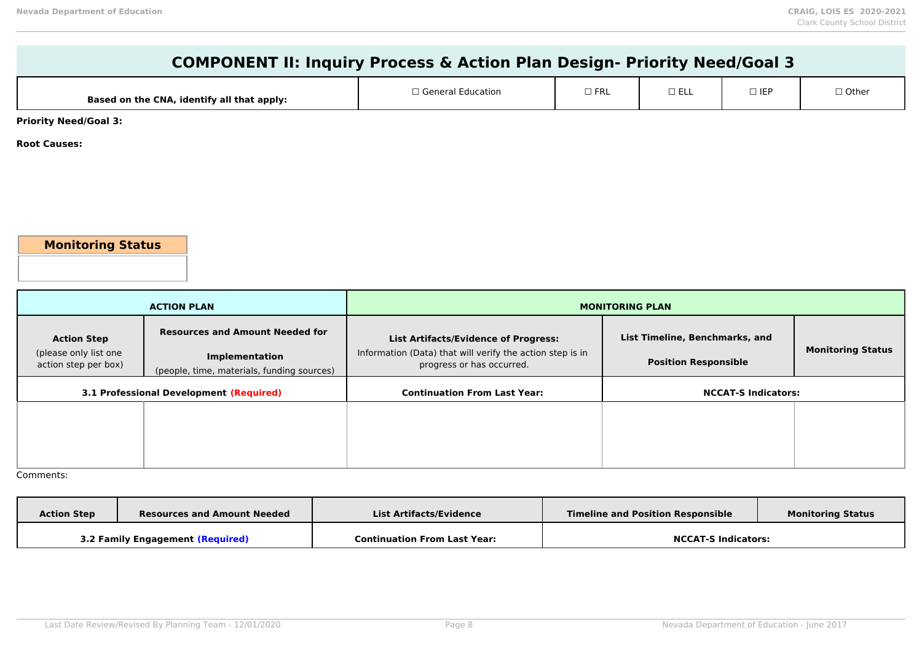| <b>COMPONENT II: Inquiry Process &amp; Action Plan Design- Priority Need/Goal 3</b> |                                                |                                                           |                        |                                |            |                          |
|-------------------------------------------------------------------------------------|------------------------------------------------|-----------------------------------------------------------|------------------------|--------------------------------|------------|--------------------------|
|                                                                                     | Based on the CNA, identify all that apply:     | □ General Education                                       | $\Box$ FRL             | $\square$ ELL                  | $\Box$ IEP | $\Box$ Other             |
| <b>Priority Need/Goal 3:</b>                                                        |                                                |                                                           |                        |                                |            |                          |
| <b>Root Causes:</b>                                                                 |                                                |                                                           |                        |                                |            |                          |
|                                                                                     |                                                |                                                           |                        |                                |            |                          |
|                                                                                     |                                                |                                                           |                        |                                |            |                          |
|                                                                                     |                                                |                                                           |                        |                                |            |                          |
|                                                                                     |                                                |                                                           |                        |                                |            |                          |
| <b>Monitoring Status</b>                                                            |                                                |                                                           |                        |                                |            |                          |
|                                                                                     |                                                |                                                           |                        |                                |            |                          |
|                                                                                     | <b>ACTION PLAN</b>                             |                                                           | <b>MONITORING PLAN</b> |                                |            |                          |
| <b>Action Step</b>                                                                  | <b>Resources and Amount Needed for</b>         | <b>List Artifacts/Evidence of Progress:</b>               |                        | List Timeline, Benchmarks, and |            |                          |
| (please only list one                                                               | Implementation                                 | Information (Data) that will verify the action step is in |                        | <b>Position Responsible</b>    |            | <b>Monitoring Status</b> |
| action step per box)                                                                | (people, time, materials, funding sources)     | progress or has occurred.                                 |                        |                                |            |                          |
|                                                                                     | <b>3.1 Professional Development (Required)</b> | <b>Continuation From Last Year:</b>                       |                        | <b>NCCAT-S Indicators:</b>     |            |                          |
|                                                                                     |                                                |                                                           |                        |                                |            |                          |
|                                                                                     |                                                |                                                           |                        |                                |            |                          |

| <b>Action Step</b>               | <b>Resources and Amount Needed</b> | List Artifacts/Evidence             | <b>Timeline and Position Responsible</b> | <b>Monitoring Status</b> |
|----------------------------------|------------------------------------|-------------------------------------|------------------------------------------|--------------------------|
| 3.2 Family Engagement (Required) |                                    | <b>Continuation From Last Year:</b> | <b>NCCAT-S Indicators:</b>               |                          |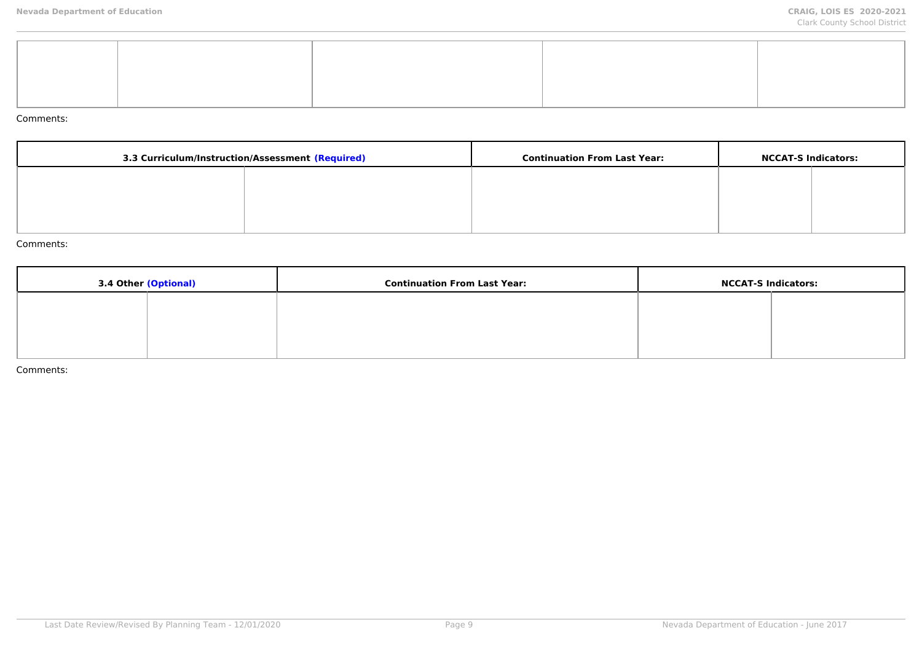| 3.3 Curriculum/Instruction/Assessment (Required) |  | <b>Continuation From Last Year:</b> | <b>NCCAT-S Indicators:</b> |  |
|--------------------------------------------------|--|-------------------------------------|----------------------------|--|
|                                                  |  |                                     |                            |  |
|                                                  |  |                                     |                            |  |
|                                                  |  |                                     |                            |  |

#### Comments:

| 3.4 Other (Optional) | <b>Continuation From Last Year:</b> | <b>NCCAT-S Indicators:</b> |  |
|----------------------|-------------------------------------|----------------------------|--|
|                      |                                     |                            |  |
|                      |                                     |                            |  |
|                      |                                     |                            |  |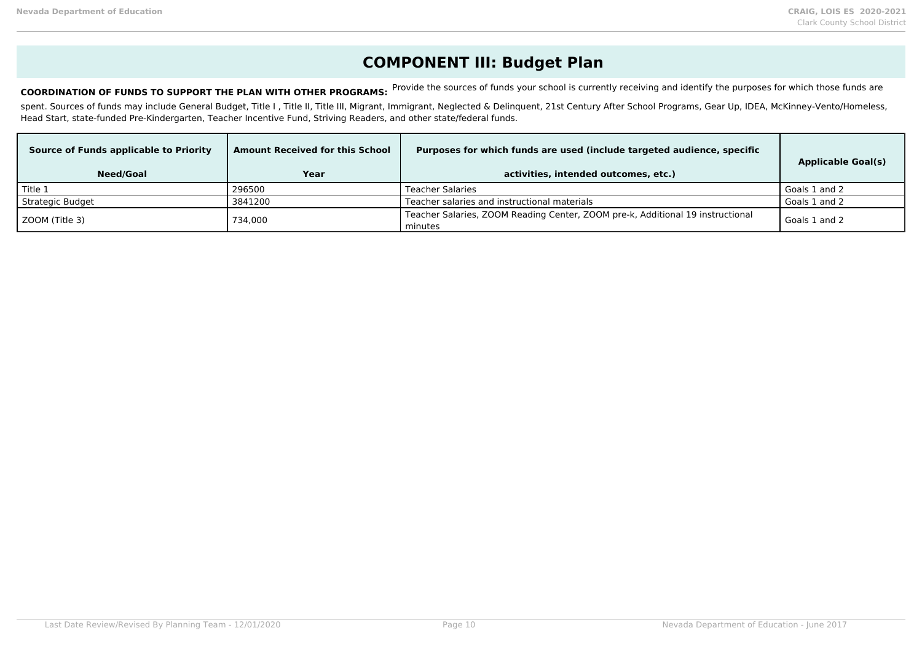## **COMPONENT III: Budget Plan**

COORDINATION OF FUNDS TO SUPPORT THE PLAN WITH OTHER PROGRAMS: Provide the sources of funds your school is currently receiving and identify the purposes for which those funds are

spent. Sources of funds may include General Budget, Title I, Title II, Title III, Migrant, Immigrant, Neglected & Delinquent, 21st Century After School Programs, Gear Up, IDEA, McKinney-Vento/Homeless, Head Start, state-funded Pre-Kindergarten, Teacher Incentive Fund, Striving Readers, and other state/federal funds.

| Source of Funds applicable to Priority | <b>Amount Received for this School</b> | Purposes for which funds are used (include targeted audience, specific                    | <b>Applicable Goal(s)</b> |
|----------------------------------------|----------------------------------------|-------------------------------------------------------------------------------------------|---------------------------|
| <b>Need/Goal</b>                       | Year                                   | activities, intended outcomes, etc.)                                                      |                           |
| Title 1                                | 296500                                 | Teacher Salaries                                                                          | Goals 1 and 2             |
| Strategic Budget                       | 3841200                                | Teacher salaries and instructional materials                                              | Goals 1 and 2             |
| ZOOM (Title 3)                         | 734.000                                | Teacher Salaries, ZOOM Reading Center, ZOOM pre-k, Additional 19 instructional<br>minutes | Goals 1 and 2             |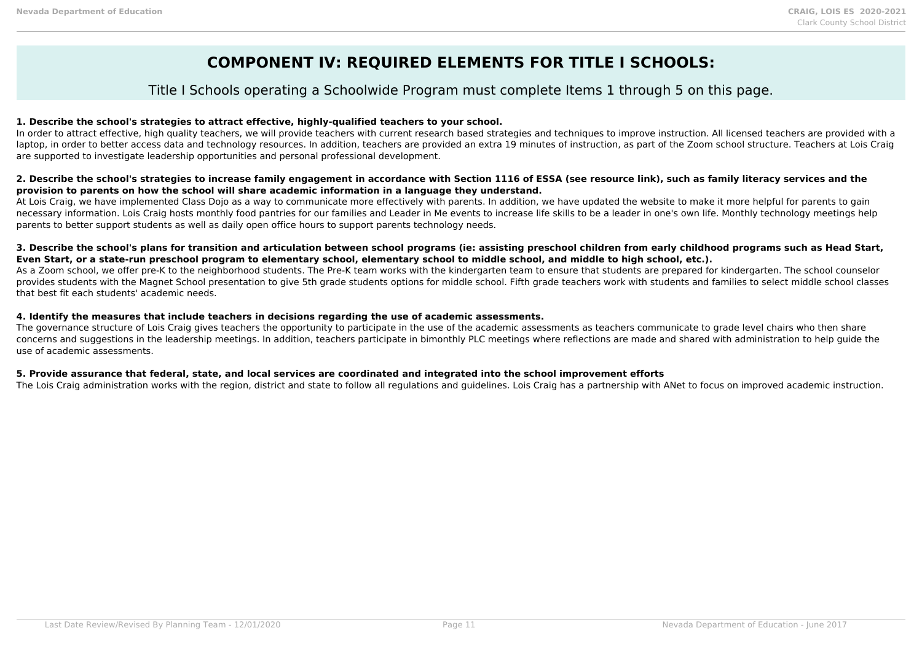## **COMPONENT IV: REQUIRED ELEMENTS FOR TITLE I SCHOOLS:**

## Title I Schools operating a Schoolwide Program must complete Items 1 through 5 on this page.

## **1. Describe the school's strategies to attract effective, highly-qualified teachers to your school.**

In order to attract effective, high quality teachers, we will provide teachers with current research based strategies and techniques to improve instruction. All licensed teachers are provided with a laptop, in order to better access data and technology resources. In addition, teachers are provided an extra 19 minutes of instruction, as part of the Zoom school structure. Teachers at Lois Craig are supported to investigate leadership opportunities and personal professional development.

### **2. Describe the school's strategies to increase family engagement in accordance with Section 1116 of ESSA (see resource link), such as family literacy services and the provision to parents on how the school will share academic information in a language they understand.**

At Lois Craig, we have implemented Class Dojo as a way to communicate more effectively with parents. In addition, we have updated the website to make it more helpful for parents to gain necessary information. Lois Craig hosts monthly food pantries for our families and Leader in Me events to increase life skills to be a leader in one's own life. Monthly technology meetings help parents to better support students as well as daily open office hours to support parents technology needs.

### **3. Describe the school's plans for transition and articulation between school programs (ie: assisting preschool children from early childhood programs such as Head Start, Even Start, or a state-run preschool program to elementary school, elementary school to middle school, and middle to high school, etc.).**

As a Zoom school, we offer pre-K to the neighborhood students. The Pre-K team works with the kindergarten team to ensure that students are prepared for kindergarten. The school counselor provides students with the Magnet School presentation to give 5th grade students options for middle school. Fifth grade teachers work with students and families to select middle school classes that best fit each students' academic needs.

### **4. Identify the measures that include teachers in decisions regarding the use of academic assessments.**

The governance structure of Lois Craig gives teachers the opportunity to participate in the use of the academic assessments as teachers communicate to grade level chairs who then share concerns and suggestions in the leadership meetings. In addition, teachers participate in bimonthly PLC meetings where reflections are made and shared with administration to help guide the use of academic assessments.

### **5. Provide assurance that federal, state, and local services are coordinated and integrated into the school improvement efforts**

The Lois Craig administration works with the region, district and state to follow all regulations and guidelines. Lois Craig has a partnership with ANet to focus on improved academic instruction.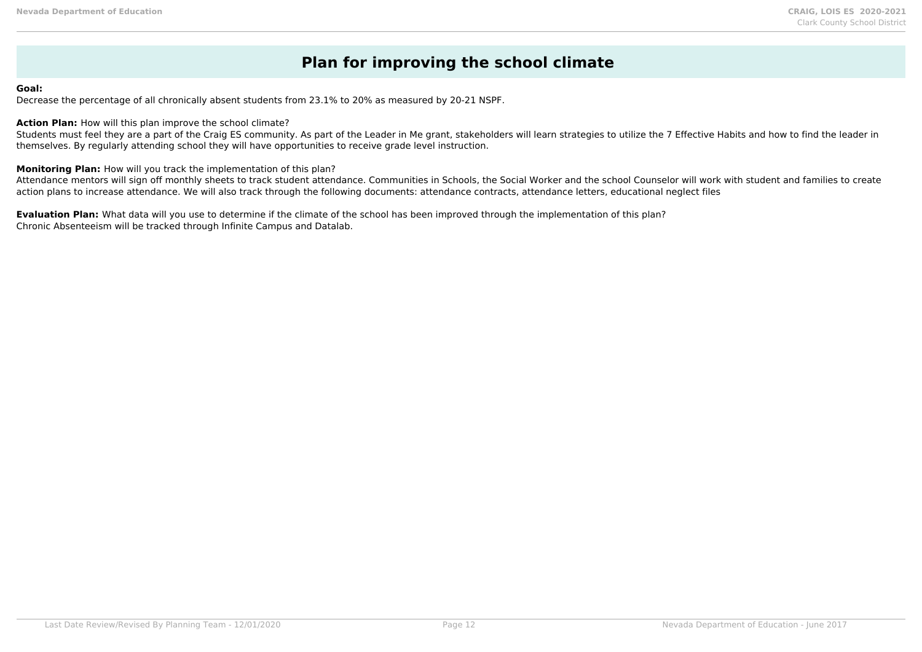## **Plan for improving the school climate**

#### **Goal:**

Decrease the percentage of all chronically absent students from 23.1% to 20% as measured by 20-21 NSPF.

#### **Action Plan:** How will this plan improve the school climate?

Students must feel they are a part of the Craig ES community. As part of the Leader in Me grant, stakeholders will learn strategies to utilize the 7 Effective Habits and how to find the leader in themselves. By regularly attending school they will have opportunities to receive grade level instruction.

#### **Monitoring Plan:** How will you track the implementation of this plan?

Attendance mentors will sign off monthly sheets to track student attendance. Communities in Schools, the Social Worker and the school Counselor will work with student and families to create action plans to increase attendance. We will also track through the following documents: attendance contracts, attendance letters, educational neglect files

**Evaluation Plan:** What data will you use to determine if the climate of the school has been improved through the implementation of this plan? Chronic Absenteeism will be tracked through Infinite Campus and Datalab.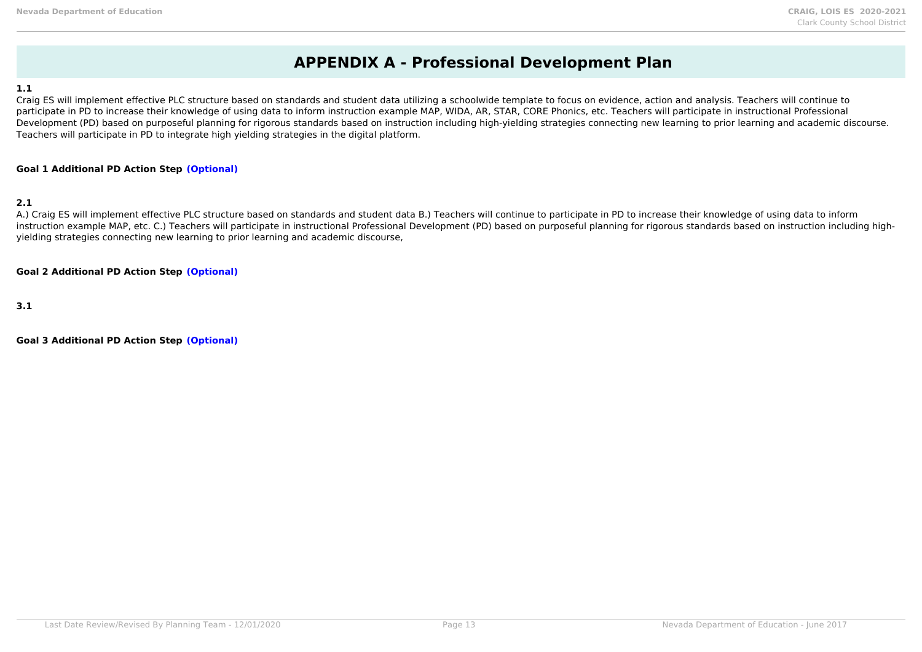## **APPENDIX A - Professional Development Plan**

#### **1.1**

Craig ES will implement effective PLC structure based on standards and student data utilizing a schoolwide template to focus on evidence, action and analysis. Teachers will continue to participate in PD to increase their knowledge of using data to inform instruction example MAP, WIDA, AR, STAR, CORE Phonics, etc. Teachers will participate in instructional Professional Development (PD) based on purposeful planning for rigorous standards based on instruction including high-yielding strategies connecting new learning to prior learning and academic discourse. Teachers will participate in PD to integrate high yielding strategies in the digital platform.

#### **Goal 1 Additional PD Action Step (Optional)**

## **2.1**

A.) Craig ES will implement effective PLC structure based on standards and student data B.) Teachers will continue to participate in PD to increase their knowledge of using data to inform instruction example MAP, etc. C.) Teachers will participate in instructional Professional Development (PD) based on purposeful planning for rigorous standards based on instruction including highyielding strategies connecting new learning to prior learning and academic discourse,

#### **Goal 2 Additional PD Action Step (Optional)**

**3.1**

**Goal 3 Additional PD Action Step (Optional)**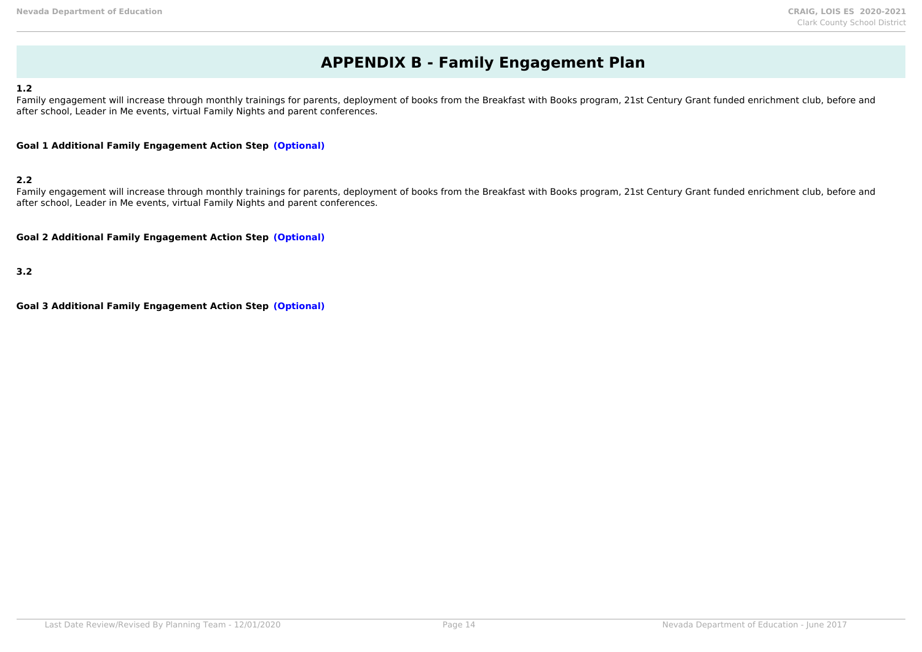## **APPENDIX B - Family Engagement Plan**

#### **1.2**

Family engagement will increase through monthly trainings for parents, deployment of books from the Breakfast with Books program, 21st Century Grant funded enrichment club, before and after school, Leader in Me events, virtual Family Nights and parent conferences.

**Goal 1 Additional Family Engagement Action Step (Optional)**

### **2.2**

Family engagement will increase through monthly trainings for parents, deployment of books from the Breakfast with Books program, 21st Century Grant funded enrichment club, before and after school, Leader in Me events, virtual Family Nights and parent conferences.

**Goal 2 Additional Family Engagement Action Step (Optional)**

**3.2**

**Goal 3 Additional Family Engagement Action Step (Optional)**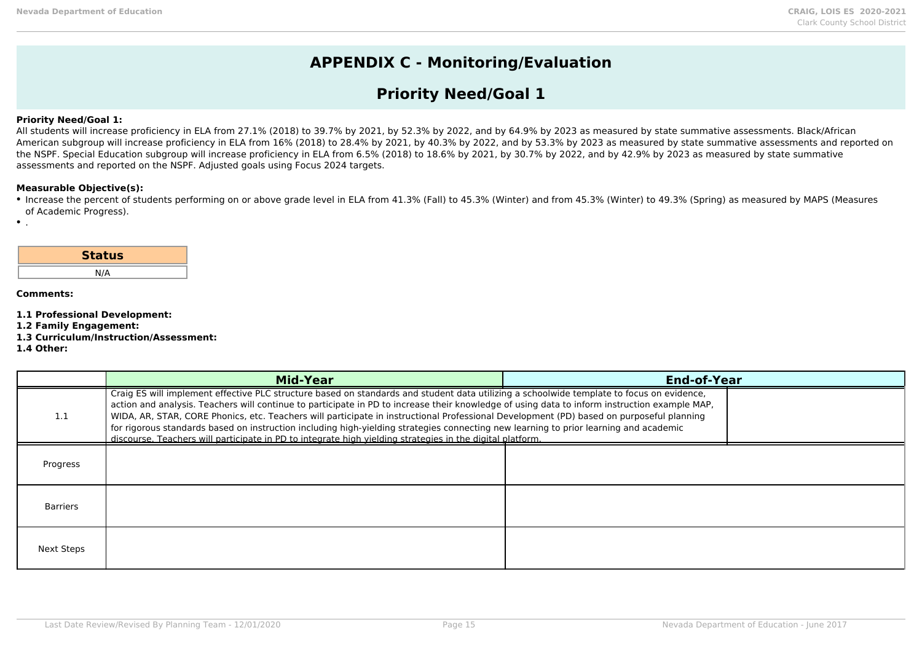## **APPENDIX C - Monitoring/Evaluation**

## **Priority Need/Goal 1**

### **Priority Need/Goal 1:**

All students will increase proficiency in ELA from 27.1% (2018) to 39.7% by 2021, by 52.3% by 2022, and by 64.9% by 2023 as measured by state summative assessments. Black/African American subgroup will increase proficiency in ELA from 16% (2018) to 28.4% by 2021, by 40.3% by 2022, and by 53.3% by 2023 as measured by state summative assessments and reported on the NSPF. Special Education subgroup will increase proficiency in ELA from 6.5% (2018) to 18.6% by 2021, by 30.7% by 2022, and by 42.9% by 2023 as measured by state summative assessments and reported on the NSPF. Adjusted goals using Focus 2024 targets.

#### **Measurable Objective(s):**

Increase the percent of students performing on or above grade level in ELA from 41.3% (Fall) to 45.3% (Winter) and from 45.3% (Winter) to 49.3% (Spring) as measured by MAPS (Measures of Academic Progress).

| <b>Status</b> |  |
|---------------|--|
| N/A           |  |

#### **Comments:**

 $\bullet$ .

- **1.1 Professional Development:**
- **1.2 Family Engagement:**
- **1.3 Curriculum/Instruction/Assessment:**

#### **1.4 Other:**

|            | <b>Mid-Year</b>                                                                                                                                                                                                                                                                                                                                                                                                                                                                                                                                                                                                                                                                              | <b>End-of-Year</b> |  |
|------------|----------------------------------------------------------------------------------------------------------------------------------------------------------------------------------------------------------------------------------------------------------------------------------------------------------------------------------------------------------------------------------------------------------------------------------------------------------------------------------------------------------------------------------------------------------------------------------------------------------------------------------------------------------------------------------------------|--------------------|--|
|            | Craig ES will implement effective PLC structure based on standards and student data utilizing a schoolwide template to focus on evidence,<br>action and analysis. Teachers will continue to participate in PD to increase their knowledge of using data to inform instruction example MAP,<br>WIDA, AR, STAR, CORE Phonics, etc. Teachers will participate in instructional Professional Development (PD) based on purposeful planning<br>for rigorous standards based on instruction including high-yielding strategies connecting new learning to prior learning and academic<br>discourse. Teachers will participate in PD to integrate high yielding strategies in the digital platform. |                    |  |
| Progress   |                                                                                                                                                                                                                                                                                                                                                                                                                                                                                                                                                                                                                                                                                              |                    |  |
| Barriers   |                                                                                                                                                                                                                                                                                                                                                                                                                                                                                                                                                                                                                                                                                              |                    |  |
| Next Steps |                                                                                                                                                                                                                                                                                                                                                                                                                                                                                                                                                                                                                                                                                              |                    |  |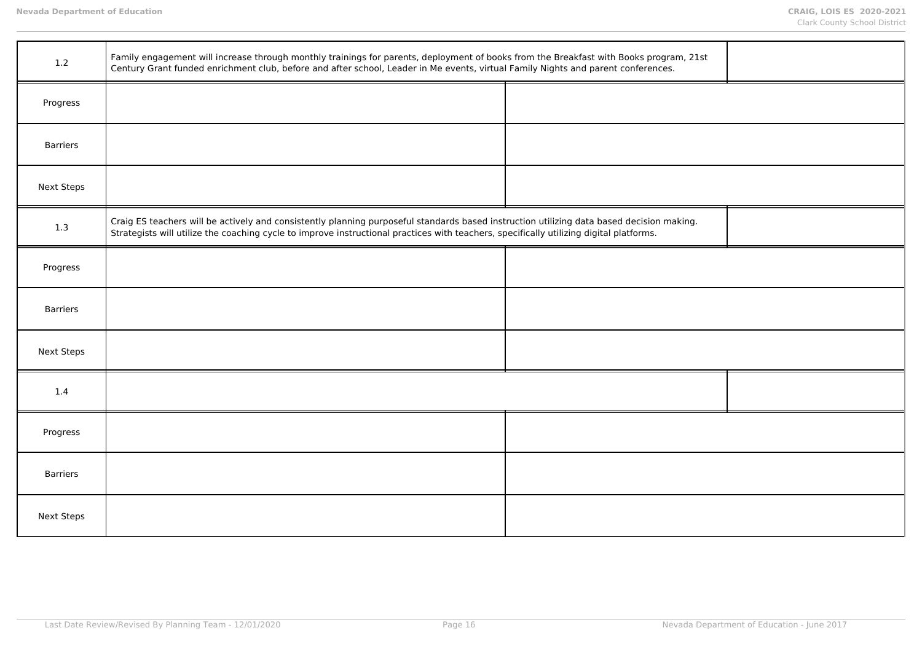| 1.2               | Family engagement will increase through monthly trainings for parents, deployment of books from the Breakfast with Books program, 21st<br>Century Grant funded enrichment club, before and after school, Leader in Me events, virtual Family Nights and parent conferences.          |  |  |
|-------------------|--------------------------------------------------------------------------------------------------------------------------------------------------------------------------------------------------------------------------------------------------------------------------------------|--|--|
| Progress          |                                                                                                                                                                                                                                                                                      |  |  |
| <b>Barriers</b>   |                                                                                                                                                                                                                                                                                      |  |  |
| <b>Next Steps</b> |                                                                                                                                                                                                                                                                                      |  |  |
| 1.3               | Craig ES teachers will be actively and consistently planning purposeful standards based instruction utilizing data based decision making.<br>Strategists will utilize the coaching cycle to improve instructional practices with teachers, specifically utilizing digital platforms. |  |  |
| Progress          |                                                                                                                                                                                                                                                                                      |  |  |
| <b>Barriers</b>   |                                                                                                                                                                                                                                                                                      |  |  |
| <b>Next Steps</b> |                                                                                                                                                                                                                                                                                      |  |  |
| 1.4               |                                                                                                                                                                                                                                                                                      |  |  |
| Progress          |                                                                                                                                                                                                                                                                                      |  |  |
| <b>Barriers</b>   |                                                                                                                                                                                                                                                                                      |  |  |
| <b>Next Steps</b> |                                                                                                                                                                                                                                                                                      |  |  |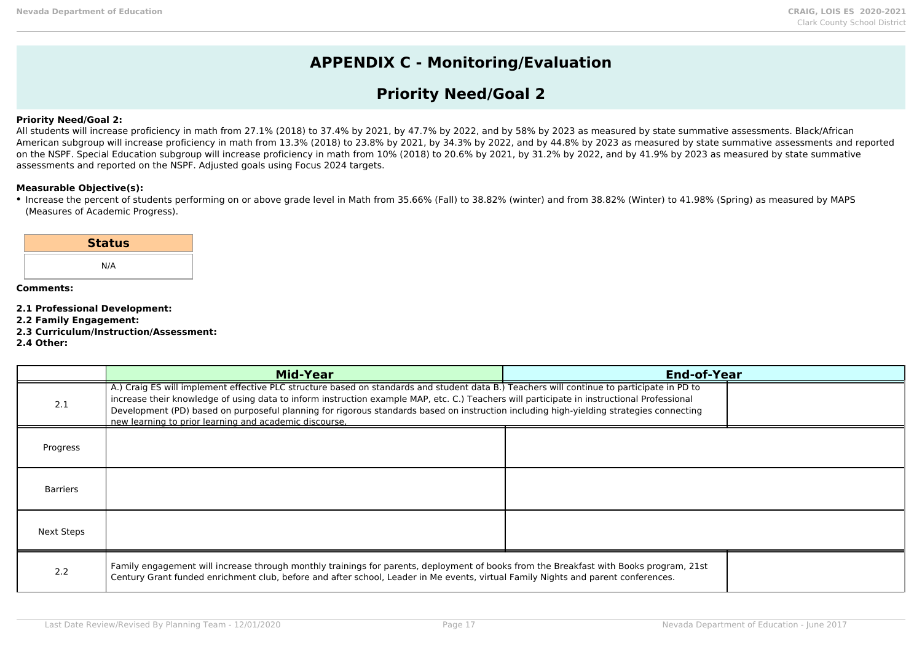## **APPENDIX C - Monitoring/Evaluation**

## **Priority Need/Goal 2**

### **Priority Need/Goal 2:**

All students will increase proficiency in math from 27.1% (2018) to 37.4% by 2021, by 47.7% by 2022, and by 58% by 2023 as measured by state summative assessments. Black/African American subgroup will increase proficiency in math from 13.3% (2018) to 23.8% by 2021, by 34.3% by 2022, and by 44.8% by 2023 as measured by state summative assessments and reported on the NSPF. Special Education subgroup will increase proficiency in math from 10% (2018) to 20.6% by 2021, by 31.2% by 2022, and by 41.9% by 2023 as measured by state summative assessments and reported on the NSPF. Adjusted goals using Focus 2024 targets.

#### **Measurable Objective(s):**

Increase the percent of students performing on or above grade level in Math from 35.66% (Fall) to 38.82% (winter) and from 38.82% (Winter) to 41.98% (Spring) as measured by MAPS (Measures of Academic Progress).

| <b>Status</b> |  |
|---------------|--|
| N/A           |  |
|               |  |

- **2.1 Professional Development:**
- **2.2 Family Engagement:**
- **2.3 Curriculum/Instruction/Assessment:**
- **2.4 Other:**

|            | <b>Mid-Year</b>                                                                                                                                                                                                                                                                                                                                                                                                                                                                               | <b>End-of-Year</b> |
|------------|-----------------------------------------------------------------------------------------------------------------------------------------------------------------------------------------------------------------------------------------------------------------------------------------------------------------------------------------------------------------------------------------------------------------------------------------------------------------------------------------------|--------------------|
| 2.1        | A.) Craig ES will implement effective PLC structure based on standards and student data B.) Teachers will continue to participate in PD to<br>increase their knowledge of using data to inform instruction example MAP, etc. C.) Teachers will participate in instructional Professional<br>Development (PD) based on purposeful planning for rigorous standards based on instruction including high-yielding strategies connecting<br>new learning to prior learning and academic discourse. |                    |
| Progress   |                                                                                                                                                                                                                                                                                                                                                                                                                                                                                               |                    |
| Barriers   |                                                                                                                                                                                                                                                                                                                                                                                                                                                                                               |                    |
| Next Steps |                                                                                                                                                                                                                                                                                                                                                                                                                                                                                               |                    |
| 2.2        | Family engagement will increase through monthly trainings for parents, deployment of books from the Breakfast with Books program, 21st<br>Century Grant funded enrichment club, before and after school, Leader in Me events, virtual Family Nights and parent conferences.                                                                                                                                                                                                                   |                    |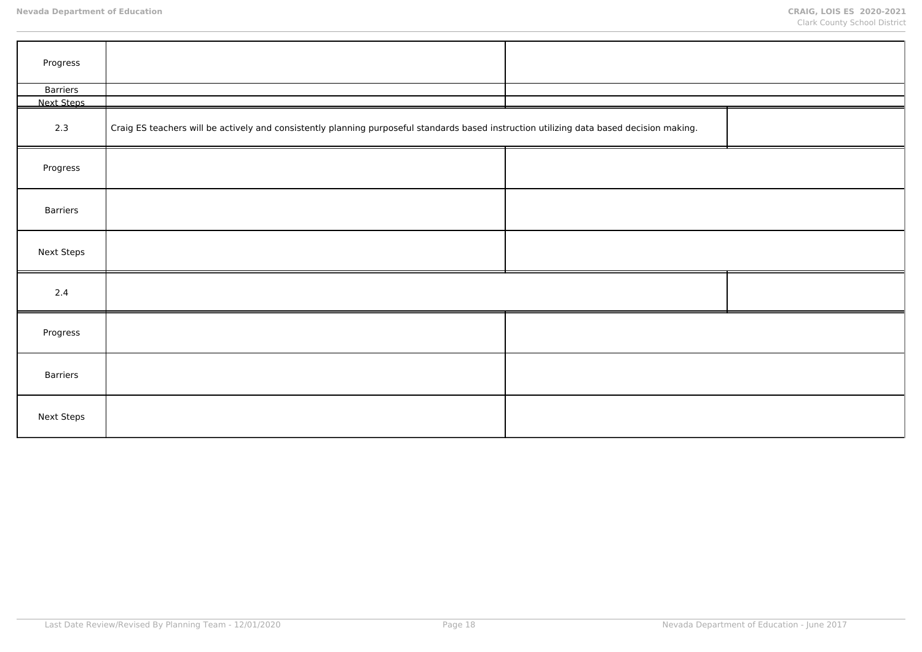| Progress          |                                                                                                                                           |  |  |
|-------------------|-------------------------------------------------------------------------------------------------------------------------------------------|--|--|
| Barriers          |                                                                                                                                           |  |  |
| Next Steps        |                                                                                                                                           |  |  |
| 2.3               | Craig ES teachers will be actively and consistently planning purposeful standards based instruction utilizing data based decision making. |  |  |
| Progress          |                                                                                                                                           |  |  |
| Barriers          |                                                                                                                                           |  |  |
| <b>Next Steps</b> |                                                                                                                                           |  |  |
| 2.4               |                                                                                                                                           |  |  |
| Progress          |                                                                                                                                           |  |  |
| Barriers          |                                                                                                                                           |  |  |
| <b>Next Steps</b> |                                                                                                                                           |  |  |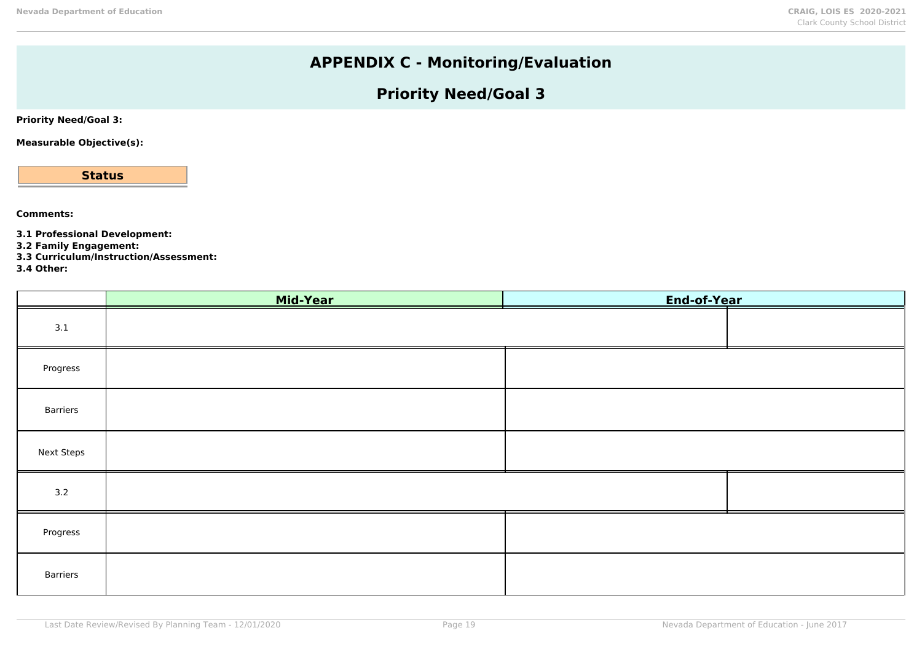# **APPENDIX C - Monitoring/Evaluation**

# **Priority Need/Goal 3**

**Priority Need/Goal 3:**

**Measurable Objective(s):**

**Status**

**Comments:**

**3.1 Professional Development:**

**3.2 Family Engagement:**

**3.3 Curriculum/Instruction/Assessment:**

**3.4 Other:**

|                   | Mid-Year | End-of-Year |  |
|-------------------|----------|-------------|--|
| 3.1               |          |             |  |
| Progress          |          |             |  |
| Barriers          |          |             |  |
| <b>Next Steps</b> |          |             |  |
| 3.2               |          |             |  |
| Progress          |          |             |  |
| Barriers          |          |             |  |